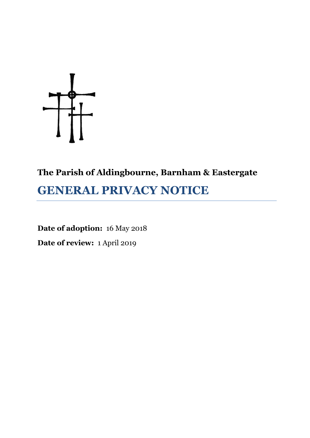

# **The Parish of Aldingbourne, Barnham & Eastergate**

# **GENERAL PRIVACY NOTICE**

**Date of adoption:** 16 May 2018 **Date of review:** 1 April 2019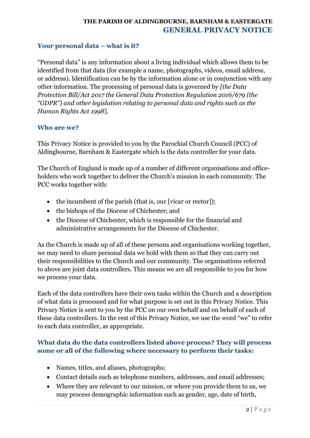#### **Your personal data – what is it?**

"Personal data" is any information about a living individual which allows them to be identified from that data (for example a name, photographs, videos, email address, or address). Identification can be by the information alone or in conjunction with any other information. The processing of personal data is governed by *[the Data Protection Bill/Act 2017 the General Data Protection Regulation 2016/679 (the "GDPR") and other legislation relating to personal data and rights such as the Human Rights Act 1998*].

#### **Who are we?**

This Privacy Notice is provided to you by the Parochial Church Council (PCC) of Aldingbourne, Barnham & Eastergate which is the data controller for your data.

The Church of England is made up of a number of different organisations and officeholders who work together to deliver the Church's mission in each community. The PCC works together with:

- the incumbent of the parish (that is, our [vicar or rector]);
- the bishops of the Diocese of Chichester; and
- the Diocese of Chichester, which is responsible for the financial and administrative arrangements for the Diocese of Chichester.

As the Church is made up of all of these persons and organisations working together, we may need to share personal data we hold with them so that they can carry out their responsibilities to the Church and our community. The organisations referred to above are joint data controllers. This means we are all responsible to you for how we process your data.

Each of the data controllers have their own tasks within the Church and a description of what data is processed and for what purpose is set out in this Privacy Notice. This Privacy Notice is sent to you by the PCC on our own behalf and on behalf of each of these data controllers. In the rest of this Privacy Notice, we use the word "we" to refer to each data controller, as appropriate.

# **What data do the data controllers listed above process? They will process some or all of the following where necessary to perform their tasks:**

- Names, titles, and aliases, photographs;
- Contact details such as telephone numbers, addresses, and email addresses;
- Where they are relevant to our mission, or where you provide them to us, we may process demographic information such as gender, age, date of birth,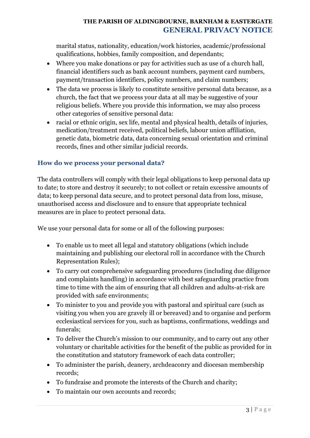marital status, nationality, education/work histories, academic/professional qualifications, hobbies, family composition, and dependants;

- Where you make donations or pay for activities such as use of a church hall, financial identifiers such as bank account numbers, payment card numbers, payment/transaction identifiers, policy numbers, and claim numbers;
- The data we process is likely to constitute sensitive personal data because, as a church, the fact that we process your data at all may be suggestive of your religious beliefs. Where you provide this information, we may also process other categories of sensitive personal data:
- racial or ethnic origin, sex life, mental and physical health, details of injuries, medication/treatment received, political beliefs, labour union affiliation, genetic data, biometric data, data concerning sexual orientation and criminal records, fines and other similar judicial records.

# **How do we process your personal data?**

The data controllers will comply with their legal obligations to keep personal data up to date; to store and destroy it securely; to not collect or retain excessive amounts of data; to keep personal data secure, and to protect personal data from loss, misuse, unauthorised access and disclosure and to ensure that appropriate technical measures are in place to protect personal data.

We use your personal data for some or all of the following purposes:

- To enable us to meet all legal and statutory obligations (which include maintaining and publishing our electoral roll in accordance with the Church Representation Rules);
- To carry out comprehensive safeguarding procedures (including due diligence and complaints handling) in accordance with best safeguarding practice from time to time with the aim of ensuring that all children and adults-at-risk are provided with safe environments;
- To minister to you and provide you with pastoral and spiritual care (such as visiting you when you are gravely ill or bereaved) and to organise and perform ecclesiastical services for you, such as baptisms, confirmations, weddings and funerals;
- To deliver the Church's mission to our community, and to carry out any other voluntary or charitable activities for the benefit of the public as provided for in the constitution and statutory framework of each data controller;
- To administer the parish, deanery, archdeaconry and diocesan membership records;
- To fundraise and promote the interests of the Church and charity;
- To maintain our own accounts and records;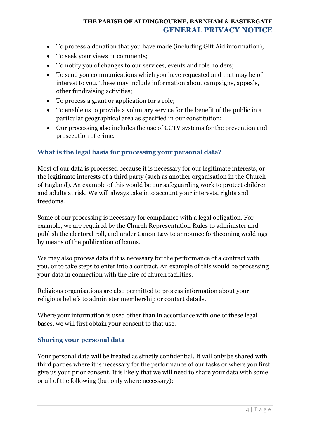- To process a donation that you have made (including Gift Aid information);
- To seek your views or comments;
- To notify you of changes to our services, events and role holders;
- To send you communications which you have requested and that may be of interest to you. These may include information about campaigns, appeals, other fundraising activities;
- To process a grant or application for a role;
- To enable us to provide a voluntary service for the benefit of the public in a particular geographical area as specified in our constitution;
- Our processing also includes the use of CCTV systems for the prevention and prosecution of crime.

# **What is the legal basis for processing your personal data?**

Most of our data is processed because it is necessary for our legitimate interests, or the legitimate interests of a third party (such as another organisation in the Church of England). An example of this would be our safeguarding work to protect children and adults at risk. We will always take into account your interests, rights and freedoms.

Some of our processing is necessary for compliance with a legal obligation. For example, we are required by the Church Representation Rules to administer and publish the electoral roll, and under Canon Law to announce forthcoming weddings by means of the publication of banns.

We may also process data if it is necessary for the performance of a contract with you, or to take steps to enter into a contract. An example of this would be processing your data in connection with the hire of church facilities.

Religious organisations are also permitted to process information about your religious beliefs to administer membership or contact details.

Where your information is used other than in accordance with one of these legal bases, we will first obtain your consent to that use.

#### **Sharing your personal data**

Your personal data will be treated as strictly confidential. It will only be shared with third parties where it is necessary for the performance of our tasks or where you first give us your prior consent. It is likely that we will need to share your data with some or all of the following (but only where necessary):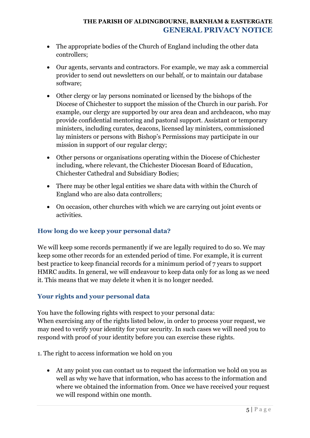- The appropriate bodies of the Church of England including the other data controllers;
- Our agents, servants and contractors. For example, we may ask a commercial provider to send out newsletters on our behalf, or to maintain our database software;
- Other clergy or lay persons nominated or licensed by the bishops of the Diocese of Chichester to support the mission of the Church in our parish. For example, our clergy are supported by our area dean and archdeacon, who may provide confidential mentoring and pastoral support. Assistant or temporary ministers, including curates, deacons, licensed lay ministers, commissioned lay ministers or persons with Bishop's Permissions may participate in our mission in support of our regular clergy;
- Other persons or organisations operating within the Diocese of Chichester including, where relevant, the Chichester Diocesan Board of Education, Chichester Cathedral and Subsidiary Bodies;
- There may be other legal entities we share data with within the Church of England who are also data controllers;
- On occasion, other churches with which we are carrying out joint events or activities.

# **How long do we keep your personal data?**

We will keep some records permanently if we are legally required to do so. We may keep some other records for an extended period of time. For example, it is current best practice to keep financial records for a minimum period of 7 years to support HMRC audits. In general, we will endeavour to keep data only for as long as we need it. This means that we may delete it when it is no longer needed.

# **Your rights and your personal data**

You have the following rights with respect to your personal data: When exercising any of the rights listed below, in order to process your request, we may need to verify your identity for your security. In such cases we will need you to respond with proof of your identity before you can exercise these rights.

- 1. The right to access information we hold on you
	- At any point you can contact us to request the information we hold on you as well as why we have that information, who has access to the information and where we obtained the information from. Once we have received your request we will respond within one month.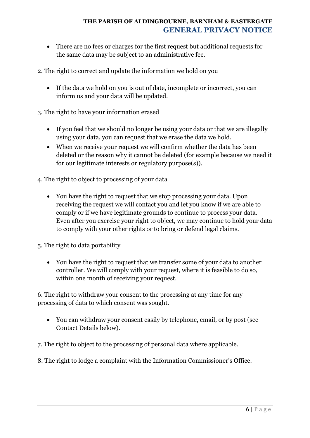- There are no fees or charges for the first request but additional requests for the same data may be subject to an administrative fee.
- 2. The right to correct and update the information we hold on you
	- If the data we hold on you is out of date, incomplete or incorrect, you can inform us and your data will be updated.
- 3. The right to have your information erased
	- If you feel that we should no longer be using your data or that we are illegally using your data, you can request that we erase the data we hold.
	- When we receive your request we will confirm whether the data has been deleted or the reason why it cannot be deleted (for example because we need it for our legitimate interests or regulatory purpose(s)).
- 4. The right to object to processing of your data
	- You have the right to request that we stop processing your data. Upon receiving the request we will contact you and let you know if we are able to comply or if we have legitimate grounds to continue to process your data. Even after you exercise your right to object, we may continue to hold your data to comply with your other rights or to bring or defend legal claims.
- 5. The right to data portability
	- You have the right to request that we transfer some of your data to another controller. We will comply with your request, where it is feasible to do so, within one month of receiving your request.

6. The right to withdraw your consent to the processing at any time for any processing of data to which consent was sought.

- You can withdraw your consent easily by telephone, email, or by post (see Contact Details below).
- 7. The right to object to the processing of personal data where applicable.
- 8. The right to lodge a complaint with the Information Commissioner's Office.